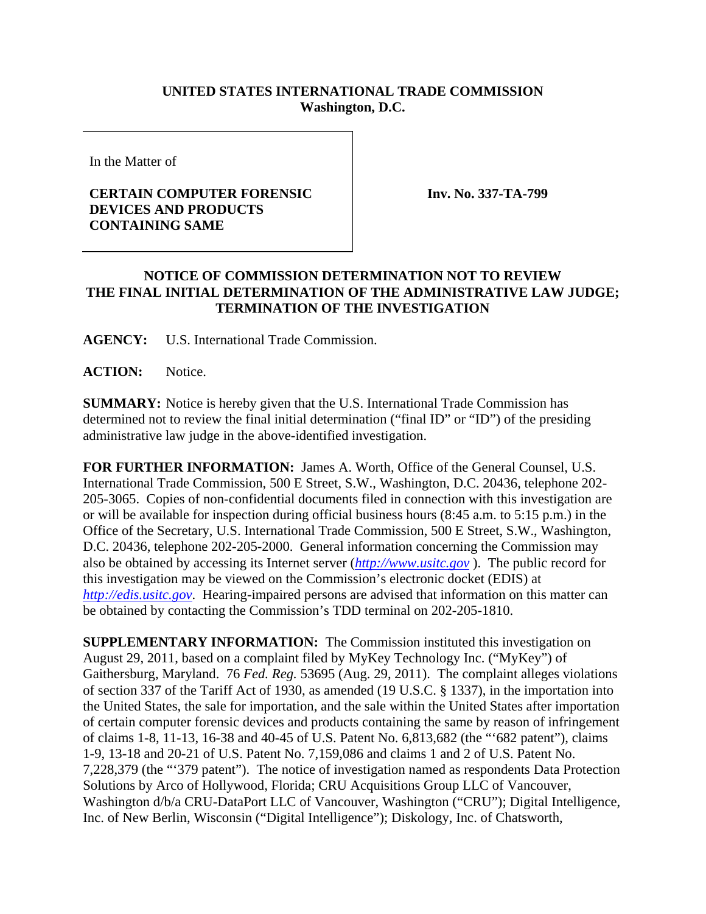## **UNITED STATES INTERNATIONAL TRADE COMMISSION Washington, D.C.**

In the Matter of

## **CERTAIN COMPUTER FORENSIC DEVICES AND PRODUCTS CONTAINING SAME**

**Inv. No. 337-TA-799**

## **NOTICE OF COMMISSION DETERMINATION NOT TO REVIEW THE FINAL INITIAL DETERMINATION OF THE ADMINISTRATIVE LAW JUDGE; TERMINATION OF THE INVESTIGATION**

**AGENCY:** U.S. International Trade Commission.

**ACTION:** Notice.

**SUMMARY:** Notice is hereby given that the U.S. International Trade Commission has determined not to review the final initial determination ("final ID" or "ID") of the presiding administrative law judge in the above-identified investigation.

**FOR FURTHER INFORMATION:** James A. Worth, Office of the General Counsel, U.S. International Trade Commission, 500 E Street, S.W., Washington, D.C. 20436, telephone 202- 205-3065. Copies of non-confidential documents filed in connection with this investigation are or will be available for inspection during official business hours (8:45 a.m. to 5:15 p.m.) in the Office of the Secretary, U.S. International Trade Commission, 500 E Street, S.W., Washington, D.C. 20436, telephone 202-205-2000. General information concerning the Commission may also be obtained by accessing its Internet server (*http://www.usitc.gov* ). The public record for this investigation may be viewed on the Commission's electronic docket (EDIS) at *http://edis.usitc.gov*. Hearing-impaired persons are advised that information on this matter can be obtained by contacting the Commission's TDD terminal on 202-205-1810.

**SUPPLEMENTARY INFORMATION:** The Commission instituted this investigation on August 29, 2011, based on a complaint filed by MyKey Technology Inc. ("MyKey") of Gaithersburg, Maryland. 76 *Fed. Reg.* 53695 (Aug. 29, 2011). The complaint alleges violations of section 337 of the Tariff Act of 1930, as amended (19 U.S.C. § 1337), in the importation into the United States, the sale for importation, and the sale within the United States after importation of certain computer forensic devices and products containing the same by reason of infringement of claims 1-8, 11-13, 16-38 and 40-45 of U.S. Patent No. 6,813,682 (the "'682 patent"), claims 1-9, 13-18 and 20-21 of U.S. Patent No. 7,159,086 and claims 1 and 2 of U.S. Patent No. 7,228,379 (the "'379 patent"). The notice of investigation named as respondents Data Protection Solutions by Arco of Hollywood, Florida; CRU Acquisitions Group LLC of Vancouver, Washington d/b/a CRU-DataPort LLC of Vancouver, Washington ("CRU"); Digital Intelligence, Inc. of New Berlin, Wisconsin ("Digital Intelligence"); Diskology, Inc. of Chatsworth,